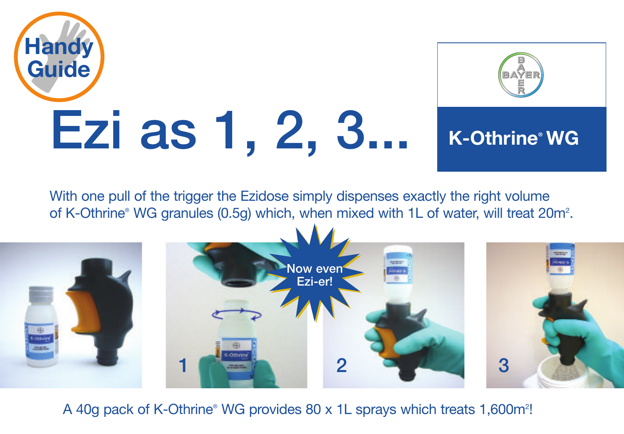



## **K-Othrine® WG**

With one pull of the trigger the Ezidose simply dispenses exactly the right volume of K-Othrine® WG granules (0.5g) which, when mixed with 1L of water, will treat 20m<sup>2</sup>.



A 40g pack of K-Othrine® WG provides 80 x 1L sprays which treats 1,600m<sup>2</sup>!